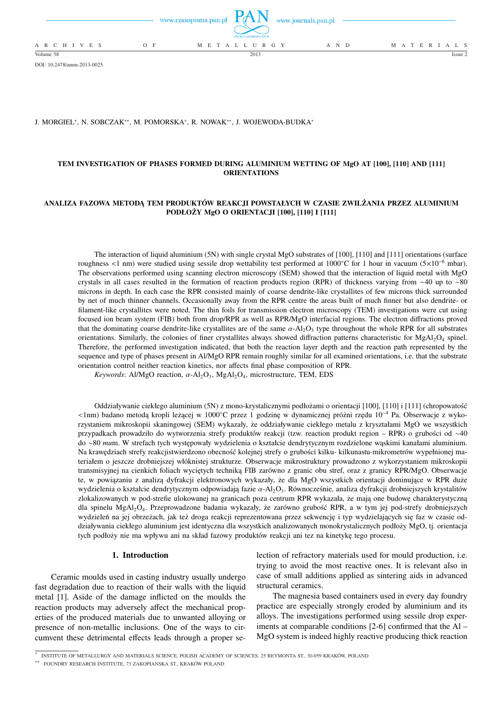

DOI: 10.2478/amm-2013-0025

J. MORGIEL\*, N. SOBCZAK\*\*, M. POMORSKA\*, R. NOWAK\*\*, J. WOJEWODA-BUDKA\*

# **TEM INVESTIGATION OF PHASES FORMED DURING ALUMINIUM WETTING OF MgO AT [100], [110] AND [111] ORIENTATIONS**

## **ANALIZA FAZOWA METODĄ TEM PRODUKTÓW REAKCJI POWSTAŁYCH W CZASIE ZWILŻANIA PRZEZ ALUMINIUM PODŁOŻY MgO O ORIENTACJI [100], [110] I [111]**

The interaction of liquid aluminium (5N) with single crystal MgO substrates of [100], [110] and [111] orientations (surface roughness <1 nm) were studied using sessile drop wettability test performed at 1000◦C for 1 hour in vacuum (5×10<sup>−</sup><sup>6</sup> mbar). The observations performed using scanning electron microscopy (SEM) showed that the interaction of liquid metal with MgO crystals in all cases resulted in the formation of reaction products region (RPR) of thickness varying from ∼40 up to ∼80 microns in depth. In each case the RPR consisted mainly of coarse dendrite-like crystallites of few microns thick surrounded by net of much thinner channels. Occasionally away from the RPR centre the areas built of much finner but also dendrite- or filament-like crystallites were noted. The thin foils for transmission electron microscopy (TEM) investigations were cut using focused ion beam system (FIB) both from drop/RPR as well as RPR/MgO interfacial regions. The electron diffractions proved that the dominating coarse dendrite-like crystallites are of the same  $\alpha$ -Al<sub>2</sub>O<sub>3</sub> type throughout the whole RPR for all substrates orientations. Similarly, the colonies of finer crystallites always showed diffraction patterns characteristic for MgAl<sub>2</sub>O<sub>4</sub> spinel. Therefore, the performed investigation indicated, that both the reaction layer depth and the reaction path represented by the sequence and type of phases present in Al/MgO RPR remain roughly similar for all examined orientations, i.e. that the substrate orientation control neither reaction kinetics, nor affects final phase composition of RPR.

*Keywords*: Al/MgO reaction, α-Al<sub>2</sub>O<sub>3</sub>, MgAl<sub>2</sub>O<sub>4</sub>, microstructure, TEM, EDS

Oddziaływanie ciekłego aluminium (5N) z mono-krystalicznymi podłożami o orientacji [100], [110] i [111] (chropowatość <1nm) badano metodą kropli leżącej w 1000◦C przez 1 godzinę w dynamicznej próżni rzędu 10<sup>−</sup><sup>4</sup> Pa. Obserwacje z wykorzystaniem mikroskopii skaningowej (SEM) wykazały, że oddziaływanie ciekłego metalu z kryształami MgO we wszystkich przypadkach prowadziło do wytworzenia strefy produktów reakcji (tzw. reaction produkt region – RPR) o grubości od ∼40 do ∼80 *mu*m. W strefach tych występowały wydzielenia o kształcie dendrytycznym rozdzielone wąskimi kanałami aluminium. Na krawędziach strefy reakcjistwierdzono obecność kolejnej strefy o grubości kilku- kilkunastu-mikrometrów wypełnionej materiałem o jeszcze drobniejszej włóknistej strukturze. Obserwacje mikrostruktury prowadzono z wykorzystaniem mikroskopii transmisyjnej na cienkich foliach wyciętych techniką FIB zarówno z granic obu stref, oraz z granicy RPR/MgO. Obserwacje te, w powiązaniu z analizą dyfrakcji elektronowych wykazały, że dla MgO wszystkich orientacji dominujące w RPR duże wydzielenia o kształcie dendrytycznym odpowiadają fazie α-Al2O3. Równocześnie, analiza dyfrakcji drobniejszych krystalitów zlokalizowanych w pod-strefie ulokowanej na granicach poza centrum RPR wykazała, że mają one budowę charakterystyczną dla spinelu MgAl2O4. Przeprowadzone badania wykazały, że zarówno grubość RPR, a w tym jej pod-strefy drobniejszych wydzieleń na jej obrzeżach, jak też droga reakcji reprezentowana przez sekwencję i typ wydzielających się faz w czasie oddziaływania ciekłego aluminium jest identyczna dla wszystkich analizowanych monokrystalicznych podłoży MgO, tj. orientacja tych podłoży nie ma wpływu ani na skład fazowy produktów reakcji ani tez na kinetykę tego procesu.

### **1. Introduction**

Ceramic moulds used in casting industry usually undergo fast degradation due to reaction of their walls with the liquid metal [1]. Aside of the damage inflicted on the moulds the reaction products may adversely affect the mechanical properties of the produced materials due to unwanted alloying or presence of non-metallic inclusions. One of the ways to circumvent these detrimental effects leads through a proper selection of refractory materials used for mould production, i.e. trying to avoid the most reactive ones. It is relevant also in case of small additions applied as sintering aids in advanced structural ceramics.

The magnesia based containers used in every day foundry practice are especially strongly eroded by aluminium and its alloys. The investigations performed using sessile drop experiments at comparable conditions [2-6] confirmed that the Al – MgO system is indeed highly reactive producing thick reaction

<sup>∗</sup> INSTITUTE OF METALLURGY AND MATERIALS SCIENCE, POLISH ACADEMY OF SCIENCES, 25 REYMONTA ST., 30-059 KRAKÓW, POLAND

<sup>∗∗</sup> FOUNDRY RESEARCH INSTITUTE, 73 ZAKOPIANSKA ST., KRAKÓW POLAND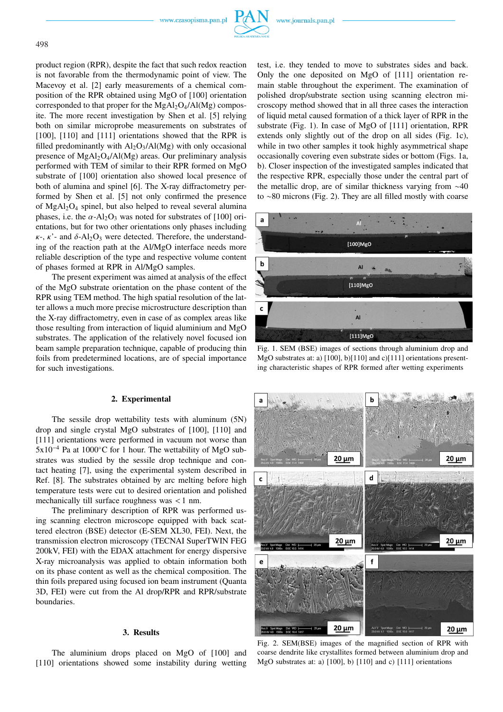www.czasopisma.pan.pl



product region (RPR), despite the fact that such redox reaction is not favorable from the thermodynamic point of view. The Macevoy et al. [2] early measurements of a chemical composition of the RPR obtained using MgO of [100] orientation corresponded to that proper for the MgAl<sub>2</sub>O<sub>4</sub>/Al(Mg) composite. The more recent investigation by Shen et al. [5] relying both on similar microprobe measurements on substrates of [100], [110] and [111] orientations showed that the RPR is filled predominantly with  $Al_2O_3/Al(Mg)$  with only occasional presence of  $MgAl<sub>2</sub>O<sub>4</sub>/Al(Mg)$  areas. Our preliminary analysis performed with TEM of similar to their RPR formed on MgO substrate of [100] orientation also showed local presence of both of alumina and spinel [6]. The X-ray diffractometry performed by Shen et al. [5] not only confirmed the presence of  $MgAl<sub>2</sub>O<sub>4</sub>$  spinel, but also helped to reveal several alumina phases, i.e. the  $\alpha$ -Al<sub>2</sub>O<sub>3</sub> was noted for substrates of [100] orientations, but for two other orientations only phases including  $\kappa$ -,  $\kappa$ '- and  $\delta$ -Al<sub>2</sub>O<sub>3</sub> were detected. Therefore, the understanding of the reaction path at the Al/MgO interface needs more reliable description of the type and respective volume content of phases formed at RPR in Al/MgO samples.

The present experiment was aimed at analysis of the effect of the MgO substrate orientation on the phase content of the RPR using TEM method. The high spatial resolution of the latter allows a much more precise microstructure description than the X-ray diffractometry, even in case of as complex areas like those resulting from interaction of liquid aluminium and MgO substrates. The application of the relatively novel focused ion beam sample preparation technique, capable of producing thin foils from predetermined locations, are of special importance for such investigations.

## **2. Experimental**

The sessile drop wettability tests with aluminum (5N) drop and single crystal MgO substrates of [100], [110] and [111] orientations were performed in vacuum not worse than 5x10<sup>−</sup><sup>4</sup> Pa at 1000◦C for 1 hour. The wettability of MgO substrates was studied by the sessile drop technique and contact heating [7], using the experimental system described in Ref. [8]. The substrates obtained by arc melting before high temperature tests were cut to desired orientation and polished mechanically till surface roughness was < 1 nm.

The preliminary description of RPR was performed using scanning electron microscope equipped with back scattered electron (BSE) detector (E-SEM XL30, FEI). Next, the transmission electron microscopy (TECNAI SuperTWIN FEG 200kV, FEI) with the EDAX attachment for energy dispersive X-ray microanalysis was applied to obtain information both on its phase content as well as the chemical composition. The thin foils prepared using focused ion beam instrument (Quanta 3D, FEI) were cut from the Al drop/RPR and RPR/substrate boundaries.

## **3. Results**

The aluminium drops placed on MgO of [100] and [110] orientations showed some instability during wetting

test, i.e. they tended to move to substrates sides and back. Only the one deposited on MgO of [111] orientation remain stable throughout the experiment. The examination of polished drop/substrate section using scanning electron microscopy method showed that in all three cases the interaction of liquid metal caused formation of a thick layer of RPR in the substrate (Fig. 1). In case of MgO of [111] orientation, RPR extends only slightly out of the drop on all sides (Fig. 1c), while in two other samples it took highly asymmetrical shape occasionally covering even substrate sides or bottom (Figs. 1a, b). Closer inspection of the investigated samples indicated that the respective RPR, especially those under the central part of the metallic drop, are of similar thickness varying from ∼40 to ∼80 microns (Fig. 2). They are all filled mostly with coarse



Fig. 1. SEM (BSE) images of sections through aluminium drop and MgO substrates at: a) [100], b)[110] and c)[111] orientations presenting characteristic shapes of RPR formed after wetting experiments



Fig. 2. SEM(BSE) images of the magnified section of RPR with coarse dendrite like crystallites formed between aluminium drop and MgO substrates at: a) [100], b) [110] and c) [111] orientations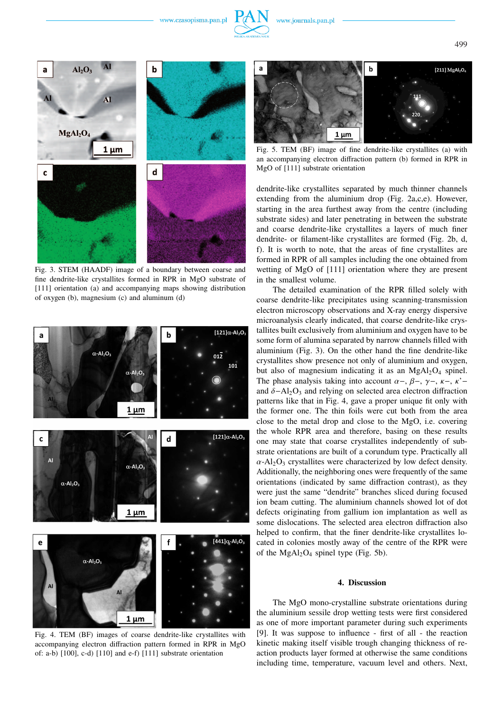www.czasopisma.pan.pl





Fig. 3. STEM (HAADF) image of a boundary between coarse and fine dendrite-like crystallites formed in RPR in MgO substrate of [111] orientation (a) and accompanying maps showing distribution of oxygen (b), magnesium (c) and aluminum (d)



Fig. 4. TEM (BF) images of coarse dendrite-like crystallites with accompanying electron diffraction pattern formed in RPR in MgO of: a-b) [100], c-d) [110] and e-f) [111] substrate orientation



Fig. 5. TEM (BF) image of fine dendrite-like crystallites (a) with an accompanying electron diffraction pattern (b) formed in RPR in MgO of [111] substrate orientation

dendrite-like crystallites separated by much thinner channels extending from the aluminium drop (Fig. 2a,c,e). However, starting in the area furthest away from the centre (including substrate sides) and later penetrating in between the substrate and coarse dendrite-like crystallites a layers of much finer dendrite- or filament-like crystallites are formed (Fig. 2b, d, f). It is worth to note, that the areas of fine crystallites are formed in RPR of all samples including the one obtained from wetting of MgO of [111] orientation where they are present in the smallest volume.

The detailed examination of the RPR filled solely with coarse dendrite-like precipitates using scanning-transmission electron microscopy observations and X-ray energy dispersive microanalysis clearly indicated, that coarse dendrite-like crystallites built exclusively from aluminium and oxygen have to be some form of alumina separated by narrow channels filled with aluminium (Fig. 3). On the other hand the fine dendrite-like crystallites show presence not only of aluminium and oxygen, but also of magnesium indicating it as an  $MgAl<sub>2</sub>O<sub>4</sub>$  spinel. The phase analysis taking into account  $\alpha$ -,  $\beta$ -,  $\gamma$ -,  $\kappa$ -,  $\kappa$ 'and  $\delta$ −Al<sub>2</sub>O<sub>3</sub> and relying on selected area electron diffraction patterns like that in Fig. 4, gave a proper unique fit only with the former one. The thin foils were cut both from the area close to the metal drop and close to the MgO, i.e. covering the whole RPR area and therefore, basing on these results one may state that coarse crystallites independently of substrate orientations are built of a corundum type. Practically all  $\alpha$ -Al<sub>2</sub>O<sub>3</sub> crystallites were characterized by low defect density. Additionally, the neighboring ones were frequently of the same orientations (indicated by same diffraction contrast), as they were just the same "dendrite" branches sliced during focused ion beam cutting. The aluminium channels showed lot of dot defects originating from gallium ion implantation as well as some dislocations. The selected area electron diffraction also helped to confirm, that the finer dendrite-like crystallites located in colonies mostly away of the centre of the RPR were of the MgAl<sub>2</sub>O<sub>4</sub> spinel type (Fig. 5b).

#### **4. Discussion**

The MgO mono-crystalline substrate orientations during the aluminium sessile drop wetting tests were first considered as one of more important parameter during such experiments [9]. It was suppose to influence - first of all - the reaction kinetic making itself visible trough changing thickness of reaction products layer formed at otherwise the same conditions including time, temperature, vacuum level and others. Next,

499